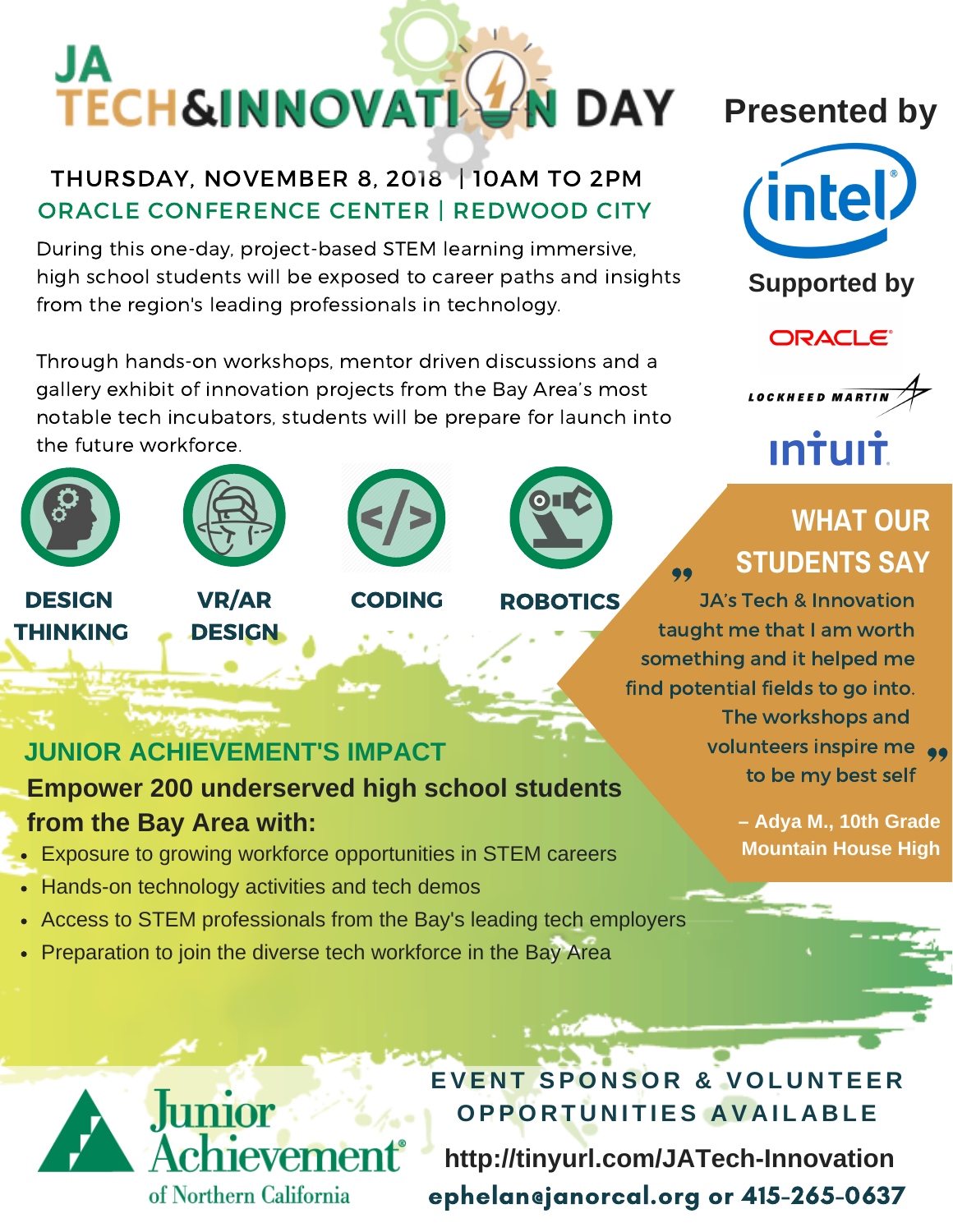# JA **TECH&INNOVATIV J** DAY

### THURSDAY, NOVEMBER 8, 2018 | 10AM TO 2PM ORACLE CONFERENCE CENTER | REDWOOD CITY

During this one-day, project-based STEM learning immersive, high school students will be exposed to career paths and insights from the region's leading professionals in technology.

Through hands-on workshops, mentor driven discussions and a gallery exhibit of innovation projects from the Bay Area's most notable tech incubators, students will be prepare for launch into the future workforce.





**DESIGN** THINKING

VR/AR **DESIGN** 





**Presented by**



**Supported by**

**ORACLE®** 



<u>**Intuit**</u>

## **WHAT OUR STUDENTS SAY**

CODING ROBOTICS JA's Tech & Innovation taught me that I am worth something and it helped me find potential fields to go into. The workshops and volunteers inspire me to be my best self "<br>"<br>aug<br>net 99<br>de<br>th

ephelan@janorcal.org or 415-265-0637

**– Adya M., 10th Grade Mountain House High**

### **JUNIOR ACHIEVEMENT'S IMPACT**

**Empower 200 underserved high school students from the Bay Area with:**

- Exposure to growing workforce opportunities in STEM careers
- Hands-on technology activities and tech demos

of Northern California

- Access to STEM professionals from the Bay's leading tech employers
- Preparation to join the diverse tech workforce in the Bay Area